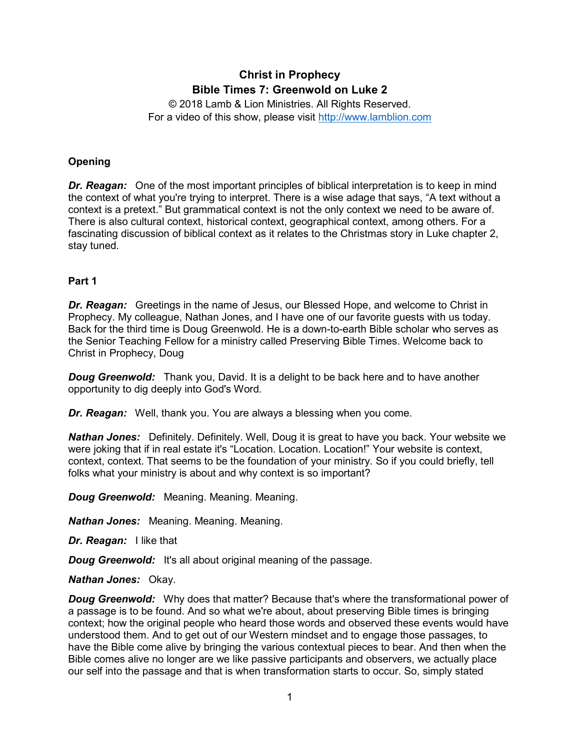# **Christ in Prophecy Bible Times 7: Greenwold on Luke 2**

© 2018 Lamb & Lion Ministries. All Rights Reserved. For a video of this show, please visit [http://www.lamblion.com](http://www.lamblion.com/)

# **Opening**

*Dr. Reagan:* One of the most important principles of biblical interpretation is to keep in mind the context of what you're trying to interpret. There is a wise adage that says, "A text without a context is a pretext." But grammatical context is not the only context we need to be aware of. There is also cultural context, historical context, geographical context, among others. For a fascinating discussion of biblical context as it relates to the Christmas story in Luke chapter 2, stay tuned.

## **Part 1**

*Dr. Reagan:* Greetings in the name of Jesus, our Blessed Hope, and welcome to Christ in Prophecy. My colleague, Nathan Jones, and I have one of our favorite guests with us today. Back for the third time is Doug Greenwold. He is a down-to-earth Bible scholar who serves as the Senior Teaching Fellow for a ministry called Preserving Bible Times. Welcome back to Christ in Prophecy, Doug

*Doug Greenwold:* Thank you, David. It is a delight to be back here and to have another opportunity to dig deeply into God's Word.

*Dr. Reagan:* Well, thank you. You are always a blessing when you come.

*Nathan Jones:* Definitely. Definitely. Well, Doug it is great to have you back. Your website we were joking that if in real estate it's "Location. Location. Location!" Your website is context, context, context. That seems to be the foundation of your ministry. So if you could briefly, tell folks what your ministry is about and why context is so important?

*Doug Greenwold:* Meaning. Meaning. Meaning.

*Nathan Jones:* Meaning. Meaning. Meaning.

*Dr. Reagan:* I like that

*Doug Greenwold:* It's all about original meaning of the passage.

*Nathan Jones:* Okay.

**Doug Greenwold:** Why does that matter? Because that's where the transformational power of a passage is to be found. And so what we're about, about preserving Bible times is bringing context; how the original people who heard those words and observed these events would have understood them. And to get out of our Western mindset and to engage those passages, to have the Bible come alive by bringing the various contextual pieces to bear. And then when the Bible comes alive no longer are we like passive participants and observers, we actually place our self into the passage and that is when transformation starts to occur. So, simply stated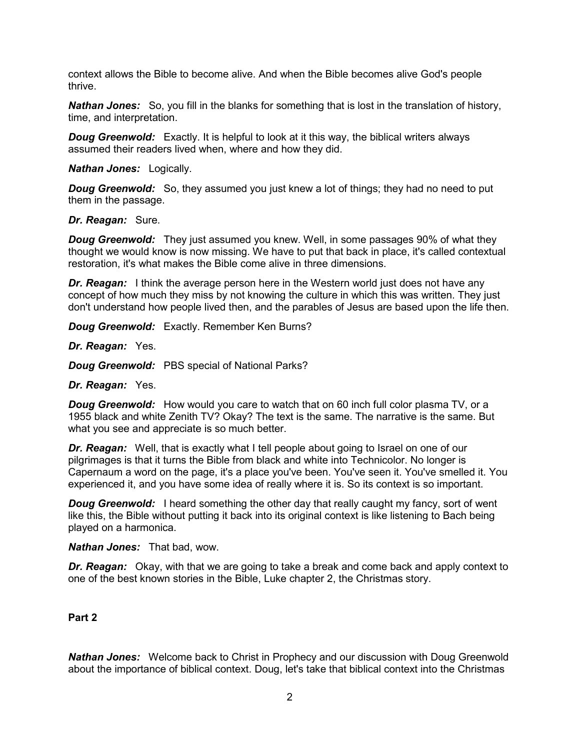context allows the Bible to become alive. And when the Bible becomes alive God's people thrive.

*Nathan Jones:* So, you fill in the blanks for something that is lost in the translation of history, time, and interpretation.

**Doug Greenwold:** Exactly, It is helpful to look at it this way, the biblical writers always assumed their readers lived when, where and how they did.

*Nathan Jones:* Logically.

*Doug Greenwold:* So, they assumed you just knew a lot of things; they had no need to put them in the passage.

#### *Dr. Reagan:* Sure.

**Doug Greenwold:** They just assumed you knew. Well, in some passages 90% of what they thought we would know is now missing. We have to put that back in place, it's called contextual restoration, it's what makes the Bible come alive in three dimensions.

*Dr. Reagan:* I think the average person here in the Western world just does not have any concept of how much they miss by not knowing the culture in which this was written. They just don't understand how people lived then, and the parables of Jesus are based upon the life then.

*Doug Greenwold:* Exactly. Remember Ken Burns?

*Dr. Reagan:* Yes.

*Doug Greenwold:* PBS special of National Parks?

*Dr. Reagan:* Yes.

*Doug Greenwold:* How would you care to watch that on 60 inch full color plasma TV, or a 1955 black and white Zenith TV? Okay? The text is the same. The narrative is the same. But what you see and appreciate is so much better.

**Dr. Reagan:** Well, that is exactly what I tell people about going to Israel on one of our pilgrimages is that it turns the Bible from black and white into Technicolor. No longer is Capernaum a word on the page, it's a place you've been. You've seen it. You've smelled it. You experienced it, and you have some idea of really where it is. So its context is so important.

**Doug Greenwold:** I heard something the other day that really caught my fancy, sort of went like this, the Bible without putting it back into its original context is like listening to Bach being played on a harmonica.

*Nathan Jones:* That bad, wow.

*Dr. Reagan:* Okay, with that we are going to take a break and come back and apply context to one of the best known stories in the Bible, Luke chapter 2, the Christmas story.

### **Part 2**

*Nathan Jones:* Welcome back to Christ in Prophecy and our discussion with Doug Greenwold about the importance of biblical context. Doug, let's take that biblical context into the Christmas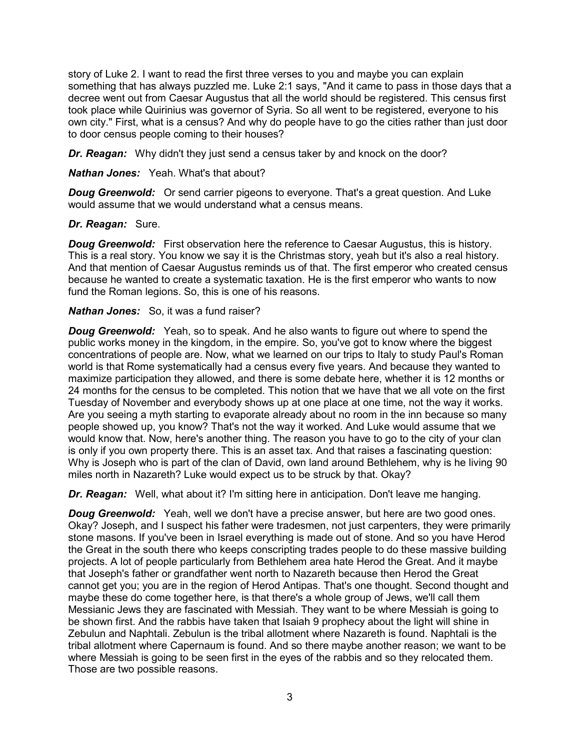story of Luke 2. I want to read the first three verses to you and maybe you can explain something that has always puzzled me. Luke 2:1 says, "And it came to pass in those days that a decree went out from Caesar Augustus that all the world should be registered. This census first took place while Quirinius was governor of Syria. So all went to be registered, everyone to his own city." First, what is a census? And why do people have to go the cities rather than just door to door census people coming to their houses?

*Dr. Reagan:* Why didn't they just send a census taker by and knock on the door?

*Nathan Jones:* Yeah. What's that about?

*Doug Greenwold:* Or send carrier pigeons to everyone. That's a great question. And Luke would assume that we would understand what a census means.

## *Dr. Reagan:* Sure.

**Doug Greenwold:** First observation here the reference to Caesar Augustus, this is history. This is a real story. You know we say it is the Christmas story, yeah but it's also a real history. And that mention of Caesar Augustus reminds us of that. The first emperor who created census because he wanted to create a systematic taxation. He is the first emperor who wants to now fund the Roman legions. So, this is one of his reasons.

## *Nathan Jones:* So, it was a fund raiser?

**Doug Greenwold:** Yeah, so to speak. And he also wants to figure out where to spend the public works money in the kingdom, in the empire. So, you've got to know where the biggest concentrations of people are. Now, what we learned on our trips to Italy to study Paul's Roman world is that Rome systematically had a census every five years. And because they wanted to maximize participation they allowed, and there is some debate here, whether it is 12 months or 24 months for the census to be completed. This notion that we have that we all vote on the first Tuesday of November and everybody shows up at one place at one time, not the way it works. Are you seeing a myth starting to evaporate already about no room in the inn because so many people showed up, you know? That's not the way it worked. And Luke would assume that we would know that. Now, here's another thing. The reason you have to go to the city of your clan is only if you own property there. This is an asset tax. And that raises a fascinating question: Why is Joseph who is part of the clan of David, own land around Bethlehem, why is he living 90 miles north in Nazareth? Luke would expect us to be struck by that. Okay?

*Dr. Reagan:* Well, what about it? I'm sitting here in anticipation. Don't leave me hanging.

*Doug Greenwold:* Yeah, well we don't have a precise answer, but here are two good ones. Okay? Joseph, and I suspect his father were tradesmen, not just carpenters, they were primarily stone masons. If you've been in Israel everything is made out of stone. And so you have Herod the Great in the south there who keeps conscripting trades people to do these massive building projects. A lot of people particularly from Bethlehem area hate Herod the Great. And it maybe that Joseph's father or grandfather went north to Nazareth because then Herod the Great cannot get you; you are in the region of Herod Antipas. That's one thought. Second thought and maybe these do come together here, is that there's a whole group of Jews, we'll call them Messianic Jews they are fascinated with Messiah. They want to be where Messiah is going to be shown first. And the rabbis have taken that Isaiah 9 prophecy about the light will shine in Zebulun and Naphtali. Zebulun is the tribal allotment where Nazareth is found. Naphtali is the tribal allotment where Capernaum is found. And so there maybe another reason; we want to be where Messiah is going to be seen first in the eyes of the rabbis and so they relocated them. Those are two possible reasons.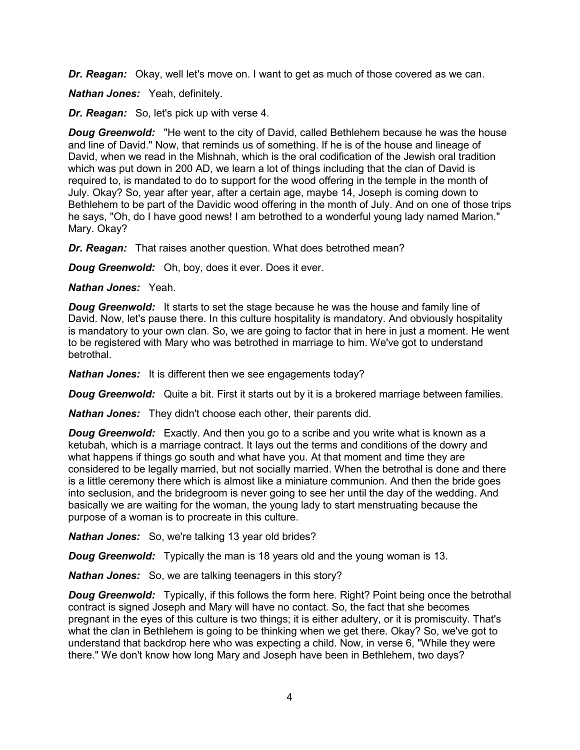*Dr. Reagan:* Okay, well let's move on. I want to get as much of those covered as we can.

*Nathan Jones:* Yeah, definitely.

*Dr. Reagan:* So, let's pick up with verse 4.

*Doug Greenwold:* "He went to the city of David, called Bethlehem because he was the house and line of David." Now, that reminds us of something. If he is of the house and lineage of David, when we read in the Mishnah, which is the oral codification of the Jewish oral tradition which was put down in 200 AD, we learn a lot of things including that the clan of David is required to, is mandated to do to support for the wood offering in the temple in the month of July. Okay? So, year after year, after a certain age, maybe 14, Joseph is coming down to Bethlehem to be part of the Davidic wood offering in the month of July. And on one of those trips he says, "Oh, do I have good news! I am betrothed to a wonderful young lady named Marion." Mary. Okay?

*Dr. Reagan:* That raises another question. What does betrothed mean?

*Doug Greenwold:* Oh, boy, does it ever. Does it ever.

*Nathan Jones:* Yeah.

**Doug Greenwold:** It starts to set the stage because he was the house and family line of David. Now, let's pause there. In this culture hospitality is mandatory. And obviously hospitality is mandatory to your own clan. So, we are going to factor that in here in just a moment. He went to be registered with Mary who was betrothed in marriage to him. We've got to understand betrothal.

*Nathan Jones:* It is different then we see engagements today?

*Doug Greenwold:* Quite a bit. First it starts out by it is a brokered marriage between families.

*Nathan Jones:* They didn't choose each other, their parents did.

*Doug Greenwold:* Exactly. And then you go to a scribe and you write what is known as a ketubah, which is a marriage contract. It lays out the terms and conditions of the dowry and what happens if things go south and what have you. At that moment and time they are considered to be legally married, but not socially married. When the betrothal is done and there is a little ceremony there which is almost like a miniature communion. And then the bride goes into seclusion, and the bridegroom is never going to see her until the day of the wedding. And basically we are waiting for the woman, the young lady to start menstruating because the purpose of a woman is to procreate in this culture.

*Nathan Jones:* So, we're talking 13 year old brides?

*Doug Greenwold:* Typically the man is 18 years old and the young woman is 13.

*Nathan Jones:* So, we are talking teenagers in this story?

**Doug Greenwold:** Typically, if this follows the form here. Right? Point being once the betrothal contract is signed Joseph and Mary will have no contact. So, the fact that she becomes pregnant in the eyes of this culture is two things; it is either adultery, or it is promiscuity. That's what the clan in Bethlehem is going to be thinking when we get there. Okay? So, we've got to understand that backdrop here who was expecting a child. Now, in verse 6, "While they were there." We don't know how long Mary and Joseph have been in Bethlehem, two days?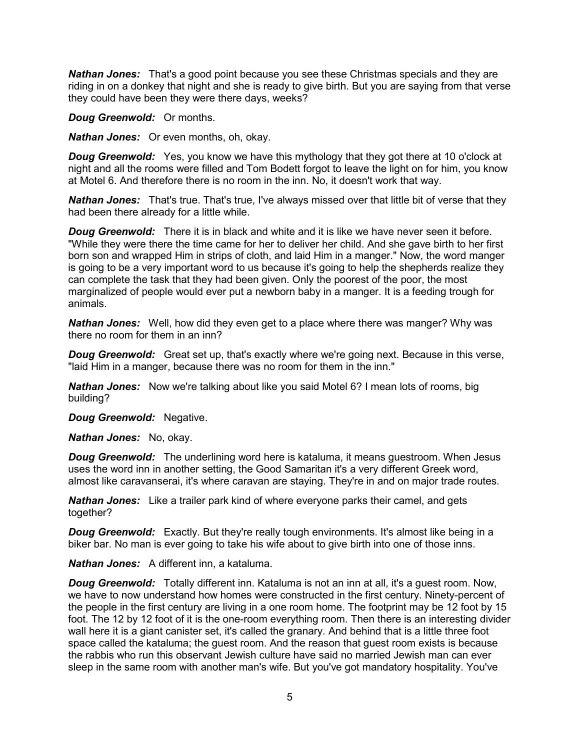*Nathan Jones:* That's a good point because you see these Christmas specials and they are riding in on a donkey that night and she is ready to give birth. But you are saying from that verse they could have been they were there days, weeks?

*Doug Greenwold:* Or months.

*Nathan Jones:* Or even months, oh, okay.

*Doug Greenwold:* Yes, you know we have this mythology that they got there at 10 o'clock at night and all the rooms were filled and Tom Bodett forgot to leave the light on for him, you know at Motel 6. And therefore there is no room in the inn. No, it doesn't work that way.

*Nathan Jones:* That's true. That's true, I've always missed over that little bit of verse that they had been there already for a little while.

**Doug Greenwold:** There it is in black and white and it is like we have never seen it before. "While they were there the time came for her to deliver her child. And she gave birth to her first born son and wrapped Him in strips of cloth, and laid Him in a manger." Now, the word manger is going to be a very important word to us because it's going to help the shepherds realize they can complete the task that they had been given. Only the poorest of the poor, the most marginalized of people would ever put a newborn baby in a manger. It is a feeding trough for animals.

*Nathan Jones:* Well, how did they even get to a place where there was manger? Why was there no room for them in an inn?

**Doug Greenwold:** Great set up, that's exactly where we're going next. Because in this verse, "laid Him in a manger, because there was no room for them in the inn."

*Nathan Jones:* Now we're talking about like you said Motel 6? I mean lots of rooms, big building?

*Doug Greenwold:* Negative.

*Nathan Jones:* No, okay.

*Doug Greenwold:* The underlining word here is kataluma, it means guestroom. When Jesus uses the word inn in another setting, the Good Samaritan it's a very different Greek word, almost like caravanserai, it's where caravan are staying. They're in and on major trade routes.

*Nathan Jones:* Like a trailer park kind of where everyone parks their camel, and gets together?

*Doug Greenwold:* Exactly. But they're really tough environments. It's almost like being in a biker bar. No man is ever going to take his wife about to give birth into one of those inns.

*Nathan Jones:* A different inn, a kataluma.

**Doug Greenwold:** Totally different inn. Kataluma is not an inn at all, it's a guest room. Now, we have to now understand how homes were constructed in the first century. Ninety-percent of the people in the first century are living in a one room home. The footprint may be 12 foot by 15 foot. The 12 by 12 foot of it is the one-room everything room. Then there is an interesting divider wall here it is a giant canister set, it's called the granary. And behind that is a little three foot space called the kataluma; the guest room. And the reason that guest room exists is because the rabbis who run this observant Jewish culture have said no married Jewish man can ever sleep in the same room with another man's wife. But you've got mandatory hospitality. You've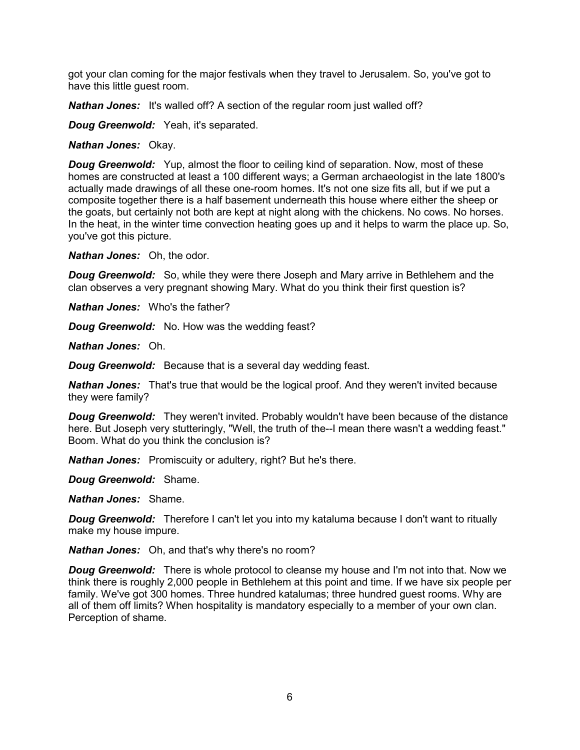got your clan coming for the major festivals when they travel to Jerusalem. So, you've got to have this little guest room.

*Nathan Jones:* It's walled off? A section of the regular room just walled off?

*Doug Greenwold:* Yeah, it's separated.

*Nathan Jones:* Okay.

*Doug Greenwold:* Yup, almost the floor to ceiling kind of separation. Now, most of these homes are constructed at least a 100 different ways; a German archaeologist in the late 1800's actually made drawings of all these one-room homes. It's not one size fits all, but if we put a composite together there is a half basement underneath this house where either the sheep or the goats, but certainly not both are kept at night along with the chickens. No cows. No horses. In the heat, in the winter time convection heating goes up and it helps to warm the place up. So, you've got this picture.

*Nathan Jones:* Oh, the odor.

**Doug Greenwold:** So, while they were there Joseph and Mary arrive in Bethlehem and the clan observes a very pregnant showing Mary. What do you think their first question is?

*Nathan Jones:* Who's the father?

*Doug Greenwold:* No. How was the wedding feast?

*Nathan Jones:* Oh.

*Doug Greenwold:* Because that is a several day wedding feast.

*Nathan Jones:* That's true that would be the logical proof. And they weren't invited because they were family?

**Doug Greenwold:** They weren't invited. Probably wouldn't have been because of the distance here. But Joseph very stutteringly, "Well, the truth of the--I mean there wasn't a wedding feast." Boom. What do you think the conclusion is?

**Nathan Jones:** Promiscuity or adultery, right? But he's there.

*Doug Greenwold:* Shame.

*Nathan Jones:* Shame.

*Doug Greenwold:* Therefore I can't let you into my kataluma because I don't want to ritually make my house impure.

*Nathan Jones:* Oh, and that's why there's no room?

*Doug Greenwold:* There is whole protocol to cleanse my house and I'm not into that. Now we think there is roughly 2,000 people in Bethlehem at this point and time. If we have six people per family. We've got 300 homes. Three hundred katalumas; three hundred guest rooms. Why are all of them off limits? When hospitality is mandatory especially to a member of your own clan. Perception of shame.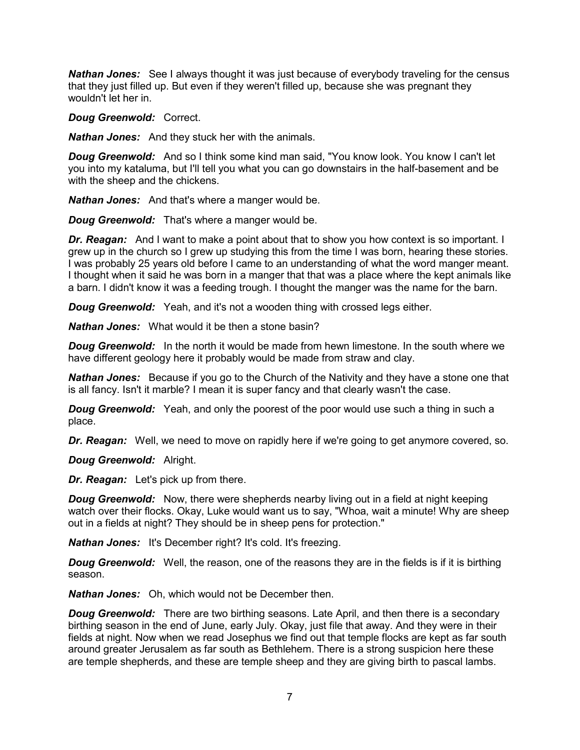*Nathan Jones:* See I always thought it was just because of everybody traveling for the census that they just filled up. But even if they weren't filled up, because she was pregnant they wouldn't let her in.

*Doug Greenwold:* Correct.

*Nathan Jones:* And they stuck her with the animals.

**Doug Greenwold:** And so I think some kind man said, "You know look. You know I can't let you into my kataluma, but I'll tell you what you can go downstairs in the half-basement and be with the sheep and the chickens.

*Nathan Jones:* And that's where a manger would be.

*Doug Greenwold:* That's where a manger would be.

*Dr. Reagan:* And I want to make a point about that to show you how context is so important. I grew up in the church so I grew up studying this from the time I was born, hearing these stories. I was probably 25 years old before I came to an understanding of what the word manger meant. I thought when it said he was born in a manger that that was a place where the kept animals like a barn. I didn't know it was a feeding trough. I thought the manger was the name for the barn.

*Doug Greenwold:* Yeah, and it's not a wooden thing with crossed legs either.

*Nathan Jones:* What would it be then a stone basin?

**Doug Greenwold:** In the north it would be made from hewn limestone. In the south where we have different geology here it probably would be made from straw and clay.

*Nathan Jones:* Because if you go to the Church of the Nativity and they have a stone one that is all fancy. Isn't it marble? I mean it is super fancy and that clearly wasn't the case.

*Doug Greenwold:* Yeah, and only the poorest of the poor would use such a thing in such a place.

*Dr. Reagan:* Well, we need to move on rapidly here if we're going to get anymore covered, so.

*Doug Greenwold:* Alright.

*Dr. Reagan:* Let's pick up from there.

*Doug Greenwold:* Now, there were shepherds nearby living out in a field at night keeping watch over their flocks. Okay, Luke would want us to say, "Whoa, wait a minute! Why are sheep out in a fields at night? They should be in sheep pens for protection."

*Nathan Jones:* It's December right? It's cold. It's freezing.

**Doug Greenwold:** Well, the reason, one of the reasons they are in the fields is if it is birthing season.

*Nathan Jones:* Oh, which would not be December then.

**Doug Greenwold:** There are two birthing seasons. Late April, and then there is a secondary birthing season in the end of June, early July. Okay, just file that away. And they were in their fields at night. Now when we read Josephus we find out that temple flocks are kept as far south around greater Jerusalem as far south as Bethlehem. There is a strong suspicion here these are temple shepherds, and these are temple sheep and they are giving birth to pascal lambs.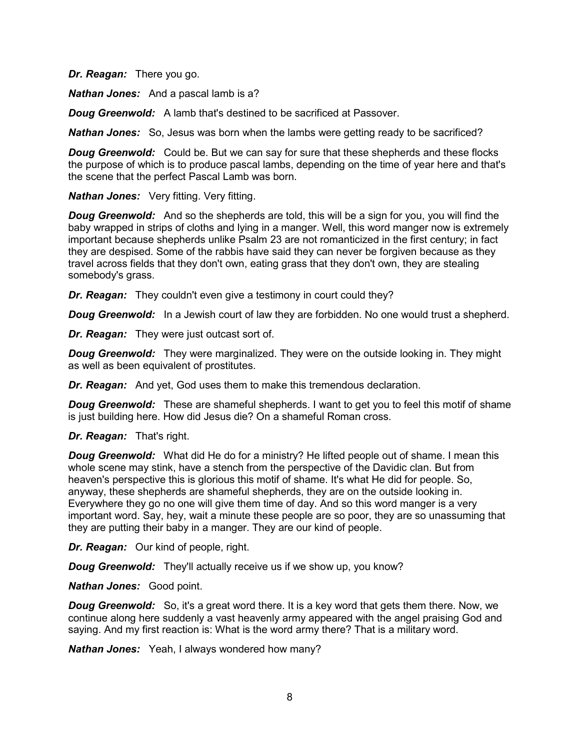*Dr. Reagan:* There you go.

*Nathan Jones:* And a pascal lamb is a?

*Doug Greenwold:* A lamb that's destined to be sacrificed at Passover.

*Nathan Jones:* So, Jesus was born when the lambs were getting ready to be sacrificed?

**Doug Greenwold:** Could be. But we can say for sure that these shepherds and these flocks the purpose of which is to produce pascal lambs, depending on the time of year here and that's the scene that the perfect Pascal Lamb was born.

*Nathan Jones:* Very fitting. Very fitting.

**Doug Greenwold:** And so the shepherds are told, this will be a sign for you, you will find the baby wrapped in strips of cloths and lying in a manger. Well, this word manger now is extremely important because shepherds unlike Psalm 23 are not romanticized in the first century; in fact they are despised. Some of the rabbis have said they can never be forgiven because as they travel across fields that they don't own, eating grass that they don't own, they are stealing somebody's grass.

*Dr. Reagan:* They couldn't even give a testimony in court could they?

**Doug Greenwold:** In a Jewish court of law they are forbidden. No one would trust a shepherd.

*Dr. Reagan:* They were just outcast sort of.

*Doug Greenwold:* They were marginalized. They were on the outside looking in. They might as well as been equivalent of prostitutes.

*Dr. Reagan:* And yet, God uses them to make this tremendous declaration.

**Doug Greenwold:** These are shameful shepherds. I want to get you to feel this motif of shame is just building here. How did Jesus die? On a shameful Roman cross.

*Dr. Reagan:* That's right.

**Doug Greenwold:** What did He do for a ministry? He lifted people out of shame. I mean this whole scene may stink, have a stench from the perspective of the Davidic clan. But from heaven's perspective this is glorious this motif of shame. It's what He did for people. So, anyway, these shepherds are shameful shepherds, they are on the outside looking in. Everywhere they go no one will give them time of day. And so this word manger is a very important word. Say, hey, wait a minute these people are so poor, they are so unassuming that they are putting their baby in a manger. They are our kind of people.

*Dr. Reagan:* Our kind of people, right.

*Doug Greenwold:* They'll actually receive us if we show up, you know?

*Nathan Jones:* Good point.

*Doug Greenwold:* So, it's a great word there. It is a key word that gets them there. Now, we continue along here suddenly a vast heavenly army appeared with the angel praising God and saying. And my first reaction is: What is the word army there? That is a military word.

*Nathan Jones:* Yeah, I always wondered how many?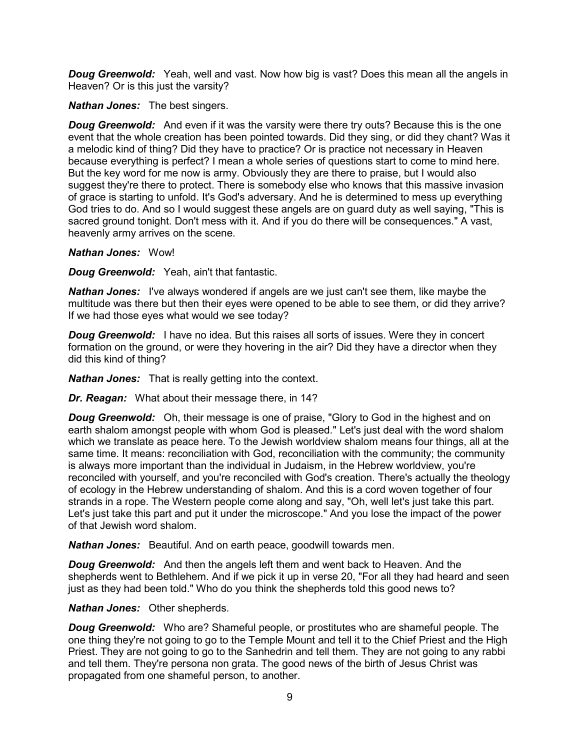**Doug Greenwold:** Yeah, well and vast. Now how big is vast? Does this mean all the angels in Heaven? Or is this just the varsity?

#### *Nathan Jones:* The best singers.

**Doug Greenwold:** And even if it was the varsity were there try outs? Because this is the one event that the whole creation has been pointed towards. Did they sing, or did they chant? Was it a melodic kind of thing? Did they have to practice? Or is practice not necessary in Heaven because everything is perfect? I mean a whole series of questions start to come to mind here. But the key word for me now is army. Obviously they are there to praise, but I would also suggest they're there to protect. There is somebody else who knows that this massive invasion of grace is starting to unfold. It's God's adversary. And he is determined to mess up everything God tries to do. And so I would suggest these angels are on guard duty as well saying, "This is sacred ground tonight. Don't mess with it. And if you do there will be consequences." A vast, heavenly army arrives on the scene.

*Nathan Jones:* Wow!

*Doug Greenwold:* Yeah, ain't that fantastic.

*Nathan Jones:* I've always wondered if angels are we just can't see them, like maybe the multitude was there but then their eyes were opened to be able to see them, or did they arrive? If we had those eyes what would we see today?

**Doug Greenwold:** I have no idea. But this raises all sorts of issues. Were they in concert formation on the ground, or were they hovering in the air? Did they have a director when they did this kind of thing?

*Nathan Jones:* That is really getting into the context.

*Dr. Reagan:* What about their message there, in 14?

*Doug Greenwold:* Oh, their message is one of praise, "Glory to God in the highest and on earth shalom amongst people with whom God is pleased." Let's just deal with the word shalom which we translate as peace here. To the Jewish worldview shalom means four things, all at the same time. It means: reconciliation with God, reconciliation with the community; the community is always more important than the individual in Judaism, in the Hebrew worldview, you're reconciled with yourself, and you're reconciled with God's creation. There's actually the theology of ecology in the Hebrew understanding of shalom. And this is a cord woven together of four strands in a rope. The Western people come along and say, "Oh, well let's just take this part. Let's just take this part and put it under the microscope." And you lose the impact of the power of that Jewish word shalom.

*Nathan Jones:* Beautiful. And on earth peace, goodwill towards men.

*Doug Greenwold:* And then the angels left them and went back to Heaven. And the shepherds went to Bethlehem. And if we pick it up in verse 20, "For all they had heard and seen just as they had been told." Who do you think the shepherds told this good news to?

### *Nathan Jones:* Other shepherds.

*Doug Greenwold:* Who are? Shameful people, or prostitutes who are shameful people. The one thing they're not going to go to the Temple Mount and tell it to the Chief Priest and the High Priest. They are not going to go to the Sanhedrin and tell them. They are not going to any rabbi and tell them. They're persona non grata. The good news of the birth of Jesus Christ was propagated from one shameful person, to another.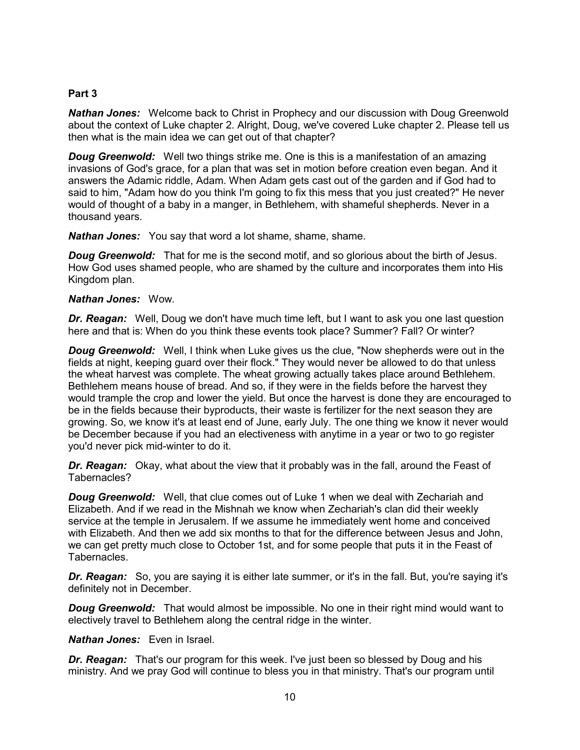## **Part 3**

*Nathan Jones:* Welcome back to Christ in Prophecy and our discussion with Doug Greenwold about the context of Luke chapter 2. Alright, Doug, we've covered Luke chapter 2. Please tell us then what is the main idea we can get out of that chapter?

*Doug Greenwold:* Well two things strike me. One is this is a manifestation of an amazing invasions of God's grace, for a plan that was set in motion before creation even began. And it answers the Adamic riddle, Adam. When Adam gets cast out of the garden and if God had to said to him, "Adam how do you think I'm going to fix this mess that you just created?" He never would of thought of a baby in a manger, in Bethlehem, with shameful shepherds. Never in a thousand years.

*Nathan Jones:* You say that word a lot shame, shame, shame.

*Doug Greenwold:* That for me is the second motif, and so glorious about the birth of Jesus. How God uses shamed people, who are shamed by the culture and incorporates them into His Kingdom plan.

#### *Nathan Jones:* Wow.

*Dr. Reagan:* Well, Doug we don't have much time left, but I want to ask you one last question here and that is: When do you think these events took place? Summer? Fall? Or winter?

*Doug Greenwold:* Well, I think when Luke gives us the clue, "Now shepherds were out in the fields at night, keeping guard over their flock." They would never be allowed to do that unless the wheat harvest was complete. The wheat growing actually takes place around Bethlehem. Bethlehem means house of bread. And so, if they were in the fields before the harvest they would trample the crop and lower the yield. But once the harvest is done they are encouraged to be in the fields because their byproducts, their waste is fertilizer for the next season they are growing. So, we know it's at least end of June, early July. The one thing we know it never would be December because if you had an electiveness with anytime in a year or two to go register you'd never pick mid-winter to do it.

*Dr. Reagan:* Okay, what about the view that it probably was in the fall, around the Feast of Tabernacles?

*Doug Greenwold:* Well, that clue comes out of Luke 1 when we deal with Zechariah and Elizabeth. And if we read in the Mishnah we know when Zechariah's clan did their weekly service at the temple in Jerusalem. If we assume he immediately went home and conceived with Elizabeth. And then we add six months to that for the difference between Jesus and John, we can get pretty much close to October 1st, and for some people that puts it in the Feast of Tabernacles.

*Dr. Reagan:* So, you are saying it is either late summer, or it's in the fall. But, you're saying it's definitely not in December.

**Doug Greenwold:** That would almost be impossible. No one in their right mind would want to electively travel to Bethlehem along the central ridge in the winter.

#### *Nathan Jones:* Even in Israel.

*Dr. Reagan:* That's our program for this week. I've just been so blessed by Doug and his ministry. And we pray God will continue to bless you in that ministry. That's our program until